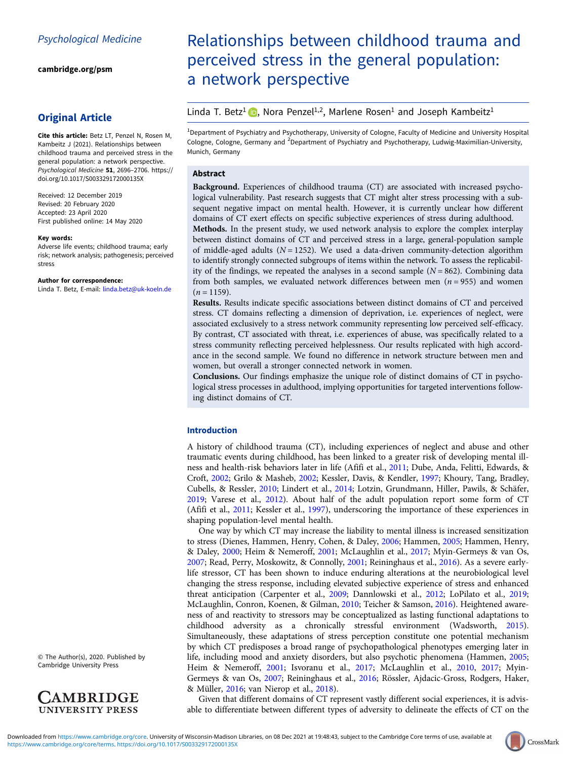[cambridge.org/psm](https://www.cambridge.org/psm)

## Original Article

Cite this article: Betz LT, Penzel N, Rosen M, Kambeitz J (2021). Relationships between childhood trauma and perceived stress in the general population: a network perspective. Psychological Medicine 51, 2696–2706. [https://](https://doi.org/10.1017/S003329172000135X) [doi.org/10.1017/S003329172000135X](https://doi.org/10.1017/S003329172000135X)

Received: 12 December 2019 Revised: 20 February 2020 Accepted: 23 April 2020 First published online: 14 May 2020

#### Key words:

Adverse life events; childhood trauma; early risk; network analysis; pathogenesis; perceived stress

#### Author for correspondence:

Linda T. Betz, E-mail: [linda.betz@uk-koeln.de](mailto:linda.betz@uk-koeln.de)

© The Author(s), 2020. Published by Cambridge University Press



# Relationships between childhood trauma and perceived stress in the general population: a network perspective

## Linda T. Betz<sup>1</sup> **b**[,](https://orcid.org/0000-0003-1741-4069) Nora Penzel<sup>1,2</sup>, Marlene Rosen<sup>1</sup> and Joseph Kambeitz<sup>1</sup>

<sup>1</sup>Department of Psychiatry and Psychotherapy, University of Cologne, Faculty of Medicine and University Hospital Cologne, Cologne, Germany and <sup>2</sup>Department of Psychiatry and Psychotherapy, Ludwig-Maximilian-University, Munich, Germany

## Abstract

Background. Experiences of childhood trauma (CT) are associated with increased psychological vulnerability. Past research suggests that CT might alter stress processing with a subsequent negative impact on mental health. However, it is currently unclear how different domains of CT exert effects on specific subjective experiences of stress during adulthood.

Methods. In the present study, we used network analysis to explore the complex interplay between distinct domains of CT and perceived stress in a large, general-population sample of middle-aged adults ( $N = 1252$ ). We used a data-driven community-detection algorithm to identify strongly connected subgroups of items within the network. To assess the replicability of the findings, we repeated the analyses in a second sample  $(N = 862)$ . Combining data from both samples, we evaluated network differences between men ( $n = 955$ ) and women  $(n = 1159)$ .

Results. Results indicate specific associations between distinct domains of CT and perceived stress. CT domains reflecting a dimension of deprivation, i.e. experiences of neglect, were associated exclusively to a stress network community representing low perceived self-efficacy. By contrast, CT associated with threat, i.e. experiences of abuse, was specifically related to a stress community reflecting perceived helplessness. Our results replicated with high accordance in the second sample. We found no difference in network structure between men and women, but overall a stronger connected network in women.

Conclusions. Our findings emphasize the unique role of distinct domains of CT in psychological stress processes in adulthood, implying opportunities for targeted interventions following distinct domains of CT.

## Introduction

A history of childhood trauma (CT), including experiences of neglect and abuse and other traumatic events during childhood, has been linked to a greater risk of developing mental illness and health-risk behaviors later in life (Afifi et al., [2011;](#page-8-0) Dube, Anda, Felitti, Edwards, & Croft, [2002](#page-8-0); Grilo & Masheb, [2002;](#page-9-0) Kessler, Davis, & Kendler, [1997](#page-9-0); Khoury, Tang, Bradley, Cubells, & Ressler, [2010](#page-9-0); Lindert et al., [2014](#page-9-0); Lotzin, Grundmann, Hiller, Pawils, & Schäfer, [2019;](#page-9-0) Varese et al., [2012\)](#page-10-0). About half of the adult population report some form of CT (Afifi et al., [2011;](#page-8-0) Kessler et al., [1997](#page-9-0)), underscoring the importance of these experiences in shaping population-level mental health.

One way by which CT may increase the liability to mental illness is increased sensitization to stress (Dienes, Hammen, Henry, Cohen, & Daley, [2006;](#page-8-0) Hammen, [2005;](#page-9-0) Hammen, Henry, & Daley, [2000;](#page-9-0) Heim & Nemeroff, [2001;](#page-9-0) McLaughlin et al., [2017](#page-9-0); Myin-Germeys & van Os, [2007;](#page-9-0) Read, Perry, Moskowitz, & Connolly, [2001](#page-9-0); Reininghaus et al., [2016](#page-9-0)). As a severe earlylife stressor, CT has been shown to induce enduring alterations at the neurobiological level changing the stress response, including elevated subjective experience of stress and enhanced threat anticipation (Carpenter et al., [2009](#page-8-0); Dannlowski et al., [2012](#page-8-0); LoPilato et al., [2019;](#page-9-0) McLaughlin, Conron, Koenen, & Gilman, [2010](#page-9-0); Teicher & Samson, [2016](#page-10-0)). Heightened awareness of and reactivity to stressors may be conceptualized as lasting functional adaptations to childhood adversity as a chronically stressful environment (Wadsworth, [2015](#page-10-0)). Simultaneously, these adaptations of stress perception constitute one potential mechanism by which CT predisposes a broad range of psychopathological phenotypes emerging later in life, including mood and anxiety disorders, but also psychotic phenomena (Hammen, [2005;](#page-9-0) Heim & Nemeroff, [2001;](#page-9-0) Isvoranu et al., [2017;](#page-9-0) McLaughlin et al., [2010,](#page-9-0) [2017](#page-9-0); Myin-Germeys & van Os, [2007](#page-9-0); Reininghaus et al., [2016](#page-9-0); Rössler, Ajdacic-Gross, Rodgers, Haker, & Müller, [2016;](#page-10-0) van Nierop et al., [2018](#page-10-0)).

Given that different domains of CT represent vastly different social experiences, it is advisable to differentiate between different types of adversity to delineate the effects of CT on the

CrossMark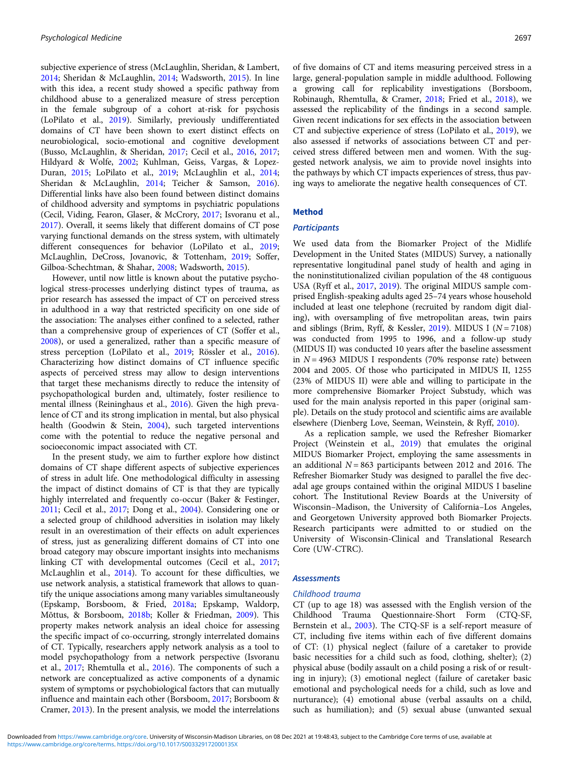subjective experience of stress (McLaughlin, Sheridan, & Lambert, [2014;](#page-9-0) Sheridan & McLaughlin, [2014;](#page-10-0) Wadsworth, [2015](#page-10-0)). In line with this idea, a recent study showed a specific pathway from childhood abuse to a generalized measure of stress perception in the female subgroup of a cohort at-risk for psychosis (LoPilato et al., [2019](#page-9-0)). Similarly, previously undifferentiated domains of CT have been shown to exert distinct effects on neurobiological, socio-emotional and cognitive development (Busso, McLaughlin, & Sheridan, [2017](#page-8-0); Cecil et al., [2016,](#page-8-0) [2017;](#page-8-0) Hildyard & Wolfe, [2002](#page-9-0); Kuhlman, Geiss, Vargas, & Lopez-Duran, [2015;](#page-9-0) LoPilato et al., [2019](#page-9-0); McLaughlin et al., [2014;](#page-9-0) Sheridan & McLaughlin, [2014;](#page-10-0) Teicher & Samson, [2016\)](#page-10-0). Differential links have also been found between distinct domains of childhood adversity and symptoms in psychiatric populations (Cecil, Viding, Fearon, Glaser, & McCrory, [2017;](#page-8-0) Isvoranu et al., [2017\)](#page-9-0). Overall, it seems likely that different domains of CT pose varying functional demands on the stress system, with ultimately different consequences for behavior (LoPilato et al., [2019;](#page-9-0) McLaughlin, DeCross, Jovanovic, & Tottenham, [2019](#page-9-0); Soffer, Gilboa-Schechtman, & Shahar, [2008;](#page-10-0) Wadsworth, [2015](#page-10-0)).

However, until now little is known about the putative psychological stress-processes underlying distinct types of trauma, as prior research has assessed the impact of CT on perceived stress in adulthood in a way that restricted specificity on one side of the association: The analyses either confined to a selected, rather than a comprehensive group of experiences of CT (Soffer et al., [2008\)](#page-10-0), or used a generalized, rather than a specific measure of stress perception (LoPilato et al., [2019](#page-9-0); Rössler et al., [2016\)](#page-10-0). Characterizing how distinct domains of CT influence specific aspects of perceived stress may allow to design interventions that target these mechanisms directly to reduce the intensity of psychopathological burden and, ultimately, foster resilience to mental illness (Reininghaus et al., [2016](#page-9-0)). Given the high prevalence of CT and its strong implication in mental, but also physical health (Goodwin & Stein, [2004](#page-9-0)), such targeted interventions come with the potential to reduce the negative personal and socioeconomic impact associated with CT.

In the present study, we aim to further explore how distinct domains of CT shape different aspects of subjective experiences of stress in adult life. One methodological difficulty in assessing the impact of distinct domains of CT is that they are typically highly interrelated and frequently co-occur (Baker & Festinger, [2011;](#page-8-0) Cecil et al., [2017;](#page-8-0) Dong et al., [2004\)](#page-8-0). Considering one or a selected group of childhood adversities in isolation may likely result in an overestimation of their effects on adult experiences of stress, just as generalizing different domains of CT into one broad category may obscure important insights into mechanisms linking CT with developmental outcomes (Cecil et al., [2017;](#page-8-0) McLaughlin et al., [2014\)](#page-9-0). To account for these difficulties, we use network analysis, a statistical framework that allows to quantify the unique associations among many variables simultaneously (Epskamp, Borsboom, & Fried, [2018a](#page-8-0); Epskamp, Waldorp, Mõttus, & Borsboom, [2018b](#page-8-0); Koller & Friedman, [2009](#page-9-0)). This property makes network analysis an ideal choice for assessing the specific impact of co-occurring, strongly interrelated domains of CT. Typically, researchers apply network analysis as a tool to model psychopathology from a network perspective (Isvoranu et al., [2017;](#page-9-0) Rhemtulla et al., [2016\)](#page-10-0). The components of such a network are conceptualized as active components of a dynamic system of symptoms or psychobiological factors that can mutually influence and maintain each other (Borsboom, [2017;](#page-8-0) Borsboom & Cramer, [2013](#page-8-0)). In the present analysis, we model the interrelations

of five domains of CT and items measuring perceived stress in a large, general-population sample in middle adulthood. Following a growing call for replicability investigations (Borsboom, Robinaugh, Rhemtulla, & Cramer, [2018;](#page-8-0) Fried et al., [2018](#page-9-0)), we assessed the replicability of the findings in a second sample. Given recent indications for sex effects in the association between CT and subjective experience of stress (LoPilato et al., [2019\)](#page-9-0), we also assessed if networks of associations between CT and perceived stress differed between men and women. With the suggested network analysis, we aim to provide novel insights into the pathways by which CT impacts experiences of stress, thus paving ways to ameliorate the negative health consequences of CT.

## Method

## Participants

We used data from the Biomarker Project of the Midlife Development in the United States (MIDUS) Survey, a nationally representative longitudinal panel study of health and aging in the noninstitutionalized civilian population of the 48 contiguous USA (Ryff et al., [2017](#page-10-0), [2019](#page-10-0)). The original MIDUS sample comprised English-speaking adults aged 25–74 years whose household included at least one telephone (recruited by random digit dialing), with oversampling of five metropolitan areas, twin pairs and siblings (Brim, Ryff, & Kessler, [2019](#page-8-0)). MIDUS I ( $N = 7108$ ) was conducted from 1995 to 1996, and a follow-up study (MIDUS II) was conducted 10 years after the baseline assessment in  $N = 4963$  MIDUS I respondents (70% response rate) between 2004 and 2005. Of those who participated in MIDUS II, 1255 (23% of MIDUS II) were able and willing to participate in the more comprehensive Biomarker Project Substudy, which was used for the main analysis reported in this paper (original sample). Details on the study protocol and scientific aims are available elsewhere (Dienberg Love, Seeman, Weinstein, & Ryff, [2010](#page-8-0)).

As a replication sample, we used the Refresher Biomarker Project (Weinstein et al., [2019\)](#page-10-0) that emulates the original MIDUS Biomarker Project, employing the same assessments in an additional  $N = 863$  participants between 2012 and 2016. The Refresher Biomarker Study was designed to parallel the five decadal age groups contained within the original MIDUS I baseline cohort. The Institutional Review Boards at the University of Wisconsin–Madison, the University of California–Los Angeles, and Georgetown University approved both Biomarker Projects. Research participants were admitted to or studied on the University of Wisconsin-Clinical and Translational Research Core (UW-CTRC).

#### **Assessments**

#### Childhood trauma

CT (up to age 18) was assessed with the English version of the Childhood Trauma Questionnaire-Short Form (CTQ-SF, Bernstein et al., [2003\)](#page-8-0). The CTQ-SF is a self-report measure of CT, including five items within each of five different domains of CT: (1) physical neglect (failure of a caretaker to provide basic necessities for a child such as food, clothing, shelter); (2) physical abuse (bodily assault on a child posing a risk of or resulting in injury); (3) emotional neglect (failure of caretaker basic emotional and psychological needs for a child, such as love and nurturance); (4) emotional abuse (verbal assaults on a child, such as humiliation); and (5) sexual abuse (unwanted sexual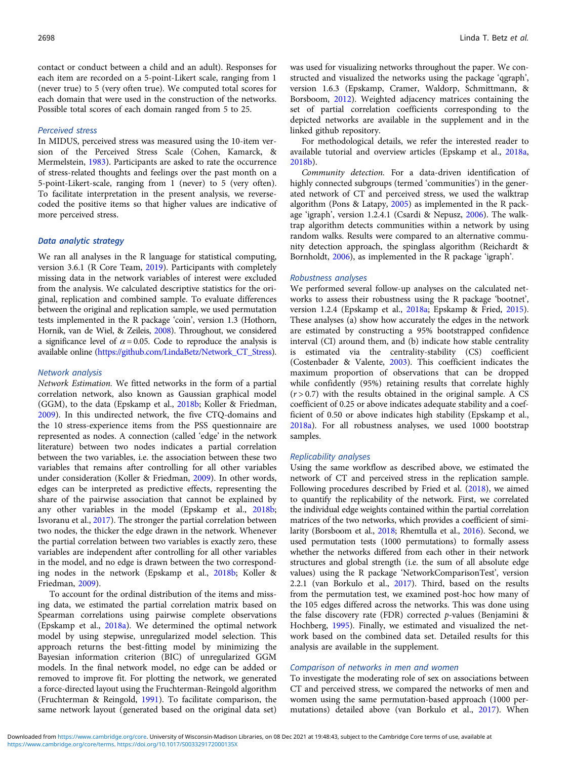contact or conduct between a child and an adult). Responses for each item are recorded on a 5-point-Likert scale, ranging from 1 (never true) to 5 (very often true). We computed total scores for each domain that were used in the construction of the networks. Possible total scores of each domain ranged from 5 to 25.

#### Perceived stress

In MIDUS, perceived stress was measured using the 10-item version of the Perceived Stress Scale (Cohen, Kamarck, & Mermelstein, [1983\)](#page-8-0). Participants are asked to rate the occurrence of stress-related thoughts and feelings over the past month on a 5-point-Likert-scale, ranging from 1 (never) to 5 (very often). To facilitate interpretation in the present analysis, we reversecoded the positive items so that higher values are indicative of more perceived stress.

## Data analytic strategy

We ran all analyses in the R language for statistical computing, version 3.6.1 (R Core Team, [2019](#page-9-0)). Participants with completely missing data in the network variables of interest were excluded from the analysis. We calculated descriptive statistics for the original, replication and combined sample. To evaluate differences between the original and replication sample, we used permutation tests implemented in the R package 'coin', version 1.3 (Hothorn, Hornik, van de Wiel, & Zeileis, [2008\)](#page-9-0). Throughout, we considered a significance level of  $\alpha = 0.05$ . Code to reproduce the analysis is available online [\(https://github.com/LindaBetz/Network\\_CT\\_Stress\)](https://github.com/LindaBetz/Network_CT_Stress).

## Network analysis

Network Estimation. We fitted networks in the form of a partial correlation network, also known as Gaussian graphical model (GGM), to the data (Epskamp et al., [2018b](#page-8-0); Koller & Friedman, [2009\)](#page-9-0). In this undirected network, the five CTQ-domains and the 10 stress-experience items from the PSS questionnaire are represented as nodes. A connection (called 'edge' in the network literature) between two nodes indicates a partial correlation between the two variables, i.e. the association between these two variables that remains after controlling for all other variables under consideration (Koller & Friedman, [2009](#page-9-0)). In other words, edges can be interpreted as predictive effects, representing the share of the pairwise association that cannot be explained by any other variables in the model (Epskamp et al., [2018b](#page-8-0); Isvoranu et al., [2017\)](#page-9-0). The stronger the partial correlation between two nodes, the thicker the edge drawn in the network. Whenever the partial correlation between two variables is exactly zero, these variables are independent after controlling for all other variables in the model, and no edge is drawn between the two corresponding nodes in the network (Epskamp et al., [2018b](#page-8-0); Koller & Friedman, [2009](#page-9-0)).

To account for the ordinal distribution of the items and missing data, we estimated the partial correlation matrix based on Spearman correlations using pairwise complete observations (Epskamp et al., [2018a\)](#page-8-0). We determined the optimal network model by using stepwise, unregularized model selection. This approach returns the best-fitting model by minimizing the Bayesian information criterion (BIC) of unregularized GGM models. In the final network model, no edge can be added or removed to improve fit. For plotting the network, we generated a force-directed layout using the Fruchterman-Reingold algorithm (Fruchterman & Reingold, [1991](#page-9-0)). To facilitate comparison, the same network layout (generated based on the original data set)

was used for visualizing networks throughout the paper. We constructed and visualized the networks using the package 'qgraph', version 1.6.3 (Epskamp, Cramer, Waldorp, Schmittmann, & Borsboom, [2012](#page-8-0)). Weighted adjacency matrices containing the set of partial correlation coefficients corresponding to the depicted networks are available in the supplement and in the linked github repository.

For methodological details, we refer the interested reader to available tutorial and overview articles (Epskamp et al., [2018a,](#page-8-0) [2018b](#page-8-0)).

Community detection. For a data-driven identification of highly connected subgroups (termed 'communities') in the generated network of CT and perceived stress, we used the walktrap algorithm (Pons & Latapy, [2005\)](#page-9-0) as implemented in the R package 'igraph', version 1.2.4.1 (Csardi & Nepusz, [2006](#page-8-0)). The walktrap algorithm detects communities within a network by using random walks. Results were compared to an alternative community detection approach, the spinglass algorithm (Reichardt & Bornholdt, [2006\)](#page-9-0), as implemented in the R package 'igraph'.

#### Robustness analyses

We performed several follow-up analyses on the calculated networks to assess their robustness using the R package 'bootnet', version 1.2.4 (Epskamp et al., [2018a](#page-8-0); Epskamp & Fried, [2015](#page-8-0)). These analyses (a) show how accurately the edges in the network are estimated by constructing a 95% bootstrapped confidence interval (CI) around them, and (b) indicate how stable centrality is estimated via the centrality-stability (CS) coefficient (Costenbader & Valente, [2003\)](#page-8-0). This coefficient indicates the maximum proportion of observations that can be dropped while confidently (95%) retaining results that correlate highly  $(r > 0.7)$  with the results obtained in the original sample. A CS coefficient of 0.25 or above indicates adequate stability and a coefficient of 0.50 or above indicates high stability (Epskamp et al., [2018a\)](#page-8-0). For all robustness analyses, we used 1000 bootstrap samples.

## Replicability analyses

Using the same workflow as described above, we estimated the network of CT and perceived stress in the replication sample. Following procedures described by Fried et al. [\(2018\)](#page-9-0), we aimed to quantify the replicability of the network. First, we correlated the individual edge weights contained within the partial correlation matrices of the two networks, which provides a coefficient of similarity (Borsboom et al., [2018;](#page-8-0) Rhemtulla et al., [2016\)](#page-10-0). Second, we used permutation tests (1000 permutations) to formally assess whether the networks differed from each other in their network structures and global strength (i.e. the sum of all absolute edge values) using the R package 'NetworkComparisonTest', version 2.2.1 (van Borkulo et al., [2017](#page-10-0)). Third, based on the results from the permutation test, we examined post-hoc how many of the 105 edges differed across the networks. This was done using the false discovery rate (FDR) corrected p-values (Benjamini & Hochberg, [1995](#page-8-0)). Finally, we estimated and visualized the network based on the combined data set. Detailed results for this analysis are available in the supplement.

#### Comparison of networks in men and women

To investigate the moderating role of sex on associations between CT and perceived stress, we compared the networks of men and women using the same permutation-based approach (1000 permutations) detailed above (van Borkulo et al., [2017](#page-10-0)). When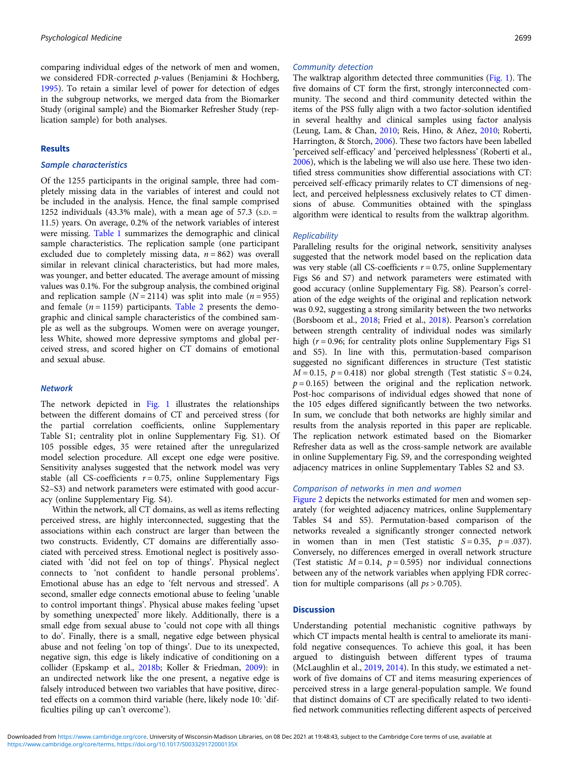comparing individual edges of the network of men and women, we considered FDR-corrected p-values (Benjamini & Hochberg, [1995\)](#page-8-0). To retain a similar level of power for detection of edges in the subgroup networks, we merged data from the Biomarker Study (original sample) and the Biomarker Refresher Study (replication sample) for both analyses.

## Results

## Sample characteristics

Of the 1255 participants in the original sample, three had completely missing data in the variables of interest and could not be included in the analysis. Hence, the final sample comprised 1252 individuals  $(43.3\% \text{ male})$ , with a mean age of 57.3  $(s.D. =$ 11.5) years. On average, 0.2% of the network variables of interest were missing. [Table 1](#page-4-0) summarizes the demographic and clinical sample characteristics. The replication sample (one participant excluded due to completely missing data,  $n = 862$ ) was overall similar in relevant clinical characteristics, but had more males, was younger, and better educated. The average amount of missing values was 0.1%. For the subgroup analysis, the combined original and replication sample ( $N = 2114$ ) was split into male ( $n = 955$ ) and female ( $n = 1159$ ) participants. [Table 2](#page-5-0) presents the demographic and clinical sample characteristics of the combined sample as well as the subgroups. Women were on average younger, less White, showed more depressive symptoms and global perceived stress, and scored higher on CT domains of emotional and sexual abuse.

#### **Network**

The network depicted in [Fig. 1](#page-6-0) illustrates the relationships between the different domains of CT and perceived stress (for the partial correlation coefficients, online Supplementary Table S1; centrality plot in online Supplementary Fig. S1). Of 105 possible edges, 35 were retained after the unregularized model selection procedure. All except one edge were positive. Sensitivity analyses suggested that the network model was very stable (all CS-coefficients  $r = 0.75$ , online Supplementary Figs S2–S3) and network parameters were estimated with good accuracy (online Supplementary Fig. S4).

Within the network, all CT domains, as well as items reflecting perceived stress, are highly interconnected, suggesting that the associations within each construct are larger than between the two constructs. Evidently, CT domains are differentially associated with perceived stress. Emotional neglect is positively associated with 'did not feel on top of things'. Physical neglect connects to 'not confident to handle personal problems'. Emotional abuse has an edge to 'felt nervous and stressed'. A second, smaller edge connects emotional abuse to feeling 'unable to control important things'. Physical abuse makes feeling 'upset by something unexpected' more likely. Additionally, there is a small edge from sexual abuse to 'could not cope with all things to do'. Finally, there is a small, negative edge between physical abuse and not feeling 'on top of things'. Due to its unexpected, negative sign, this edge is likely indicative of conditioning on a collider (Epskamp et al., [2018b;](#page-8-0) Koller & Friedman, [2009\)](#page-9-0): in an undirected network like the one present, a negative edge is falsely introduced between two variables that have positive, directed effects on a common third variable (here, likely node 10: 'difficulties piling up can't overcome').

#### Community detection

The walktrap algorithm detected three communities [\(Fig. 1\)](#page-6-0). The five domains of CT form the first, strongly interconnected community. The second and third community detected within the items of the PSS fully align with a two factor-solution identified in several healthy and clinical samples using factor analysis (Leung, Lam, & Chan, [2010](#page-9-0); Reis, Hino, & Añez, [2010](#page-9-0); Roberti, Harrington, & Storch, [2006](#page-10-0)). These two factors have been labelled 'perceived self-efficacy' and 'perceived helplessness' (Roberti et al., [2006](#page-10-0)), which is the labeling we will also use here. These two identified stress communities show differential associations with CT: perceived self-efficacy primarily relates to CT dimensions of neglect, and perceived helplessness exclusively relates to CT dimensions of abuse. Communities obtained with the spinglass algorithm were identical to results from the walktrap algorithm.

#### **Replicability**

Paralleling results for the original network, sensitivity analyses suggested that the network model based on the replication data was very stable (all CS-coefficients  $r = 0.75$ , online Supplementary Figs S6 and S7) and network parameters were estimated with good accuracy (online Supplementary Fig. S8). Pearson's correlation of the edge weights of the original and replication network was 0.92, suggesting a strong similarity between the two networks (Borsboom et al., [2018;](#page-8-0) Fried et al., [2018\)](#page-9-0). Pearson's correlation between strength centrality of individual nodes was similarly high  $(r = 0.96$ ; for centrality plots online Supplementary Figs S1 and S5). In line with this, permutation-based comparison suggested no significant differences in structure (Test statistic  $M = 0.15$ ,  $p = 0.418$ ) nor global strength (Test statistic  $S = 0.24$ ,  $p = 0.165$ ) between the original and the replication network. Post-hoc comparisons of individual edges showed that none of the 105 edges differed significantly between the two networks. In sum, we conclude that both networks are highly similar and results from the analysis reported in this paper are replicable. The replication network estimated based on the Biomarker Refresher data as well as the cross-sample network are available in online Supplementary Fig. S9, and the corresponding weighted adjacency matrices in online Supplementary Tables S2 and S3.

## Comparison of networks in men and women

[Figure 2](#page-6-0) depicts the networks estimated for men and women separately (for weighted adjacency matrices, online Supplementary Tables S4 and S5). Permutation-based comparison of the networks revealed a significantly stronger connected network in women than in men (Test statistic  $S = 0.35$ ,  $p = .037$ ). Conversely, no differences emerged in overall network structure (Test statistic  $M = 0.14$ ,  $p = 0.595$ ) nor individual connections between any of the network variables when applying FDR correction for multiple comparisons (all  $ps > 0.705$ ).

#### **Discussion**

Understanding potential mechanistic cognitive pathways by which CT impacts mental health is central to ameliorate its manifold negative consequences. To achieve this goal, it has been argued to distinguish between different types of trauma (McLaughlin et al., [2019,](#page-9-0) [2014\)](#page-9-0). In this study, we estimated a network of five domains of CT and items measuring experiences of perceived stress in a large general-population sample. We found that distinct domains of CT are specifically related to two identified network communities reflecting different aspects of perceived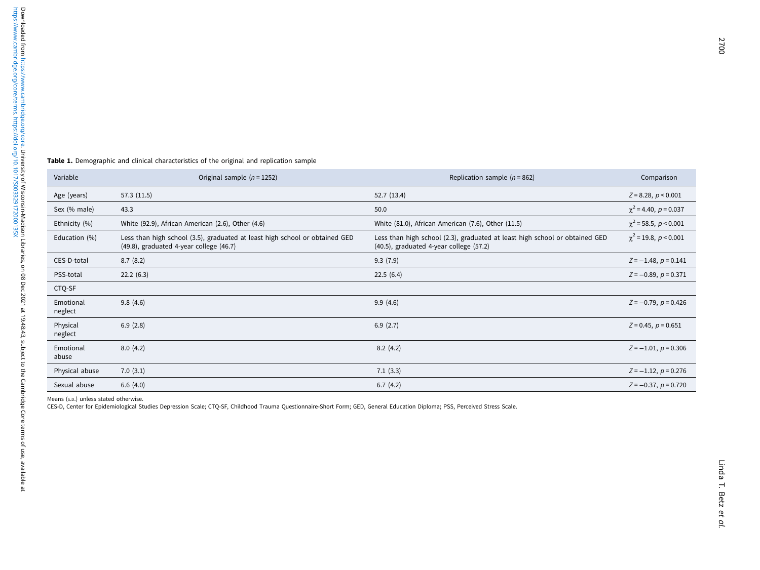<span id="page-4-0"></span>

| j                                  | <b>Table</b>            |
|------------------------------------|-------------------------|
|                                    |                         |
| j                                  | /ar                     |
|                                    | Age                     |
|                                    | Sex                     |
|                                    | Eth                     |
|                                    | $E$ du                  |
|                                    | CES                     |
| ibraries, on 08                    |                         |
| Dec 2021                           | PSS<br>CTC<br>Em<br>neg |
|                                    |                         |
|                                    |                         |
|                                    | Phy<br>Phy              |
|                                    | neg<br>Em               |
|                                    | L…<br>abu               |
|                                    | Ph <sub>)</sub>         |
| ambri                              | Sex                     |
| idae C<br>ore tel<br>y<br>rD<br>یہ | Means<br>CES-D          |

| Table 1. Demographic and clinical characteristics of the original and replication sample |  |  |  |
|------------------------------------------------------------------------------------------|--|--|--|

| Variable             | Original sample $(n = 1252)$                                                                                           | Replication sample $(n = 862)$                                                                                         | Comparison                 |
|----------------------|------------------------------------------------------------------------------------------------------------------------|------------------------------------------------------------------------------------------------------------------------|----------------------------|
| Age (years)          | 57.3(11.5)                                                                                                             | 52.7(13.4)                                                                                                             | $Z = 8.28, p < 0.001$      |
| Sex (% male)         | 43.3                                                                                                                   | 50.0                                                                                                                   | $\chi^2$ = 4.40, p = 0.037 |
| Ethnicity (%)        | White (92.9), African American (2.6), Other (4.6)                                                                      | White (81.0), African American (7.6), Other (11.5)                                                                     | $\chi^2$ = 58.5, p < 0.001 |
| Education (%)        | Less than high school (3.5), graduated at least high school or obtained GED<br>(49.8), graduated 4-year college (46.7) | Less than high school (2.3), graduated at least high school or obtained GED<br>(40.5), graduated 4-year college (57.2) | $\chi^2$ = 19.8, p < 0.001 |
| CES-D-total          | 8.7(8.2)                                                                                                               | 9.3(7.9)                                                                                                               | $Z = -1.48$ , $p = 0.141$  |
| PSS-total            | 22.2(6.3)                                                                                                              | 22.5(6.4)                                                                                                              | $Z = -0.89$ , $p = 0.371$  |
| CTQ-SF               |                                                                                                                        |                                                                                                                        |                            |
| Emotional<br>neglect | 9.8(4.6)                                                                                                               | 9.9(4.6)                                                                                                               | $Z = -0.79$ , $p = 0.426$  |
| Physical<br>neglect  | 6.9(2.8)                                                                                                               | 6.9(2.7)                                                                                                               | $Z = 0.45$ , $p = 0.651$   |
| Emotional<br>abuse   | 8.0(4.2)                                                                                                               | 8.2(4.2)                                                                                                               | $Z = -1.01$ , $p = 0.306$  |
| Physical abuse       | 7.0(3.1)                                                                                                               | 7.1(3.3)                                                                                                               | $Z = -1.12$ , $p = 0.276$  |
| Sexual abuse         | 6.6(4.0)                                                                                                               | 6.7(4.2)                                                                                                               | $Z = -0.37$ , $p = 0.720$  |

Means (S.D.) unless stated otherwise.

CES-D, Center for Epidemiological Studies Depression Scale; CTQ-SF, Childhood Trauma Questionnaire-Short Form; GED, General Education Diploma; PSS, Perceived Stress Scale.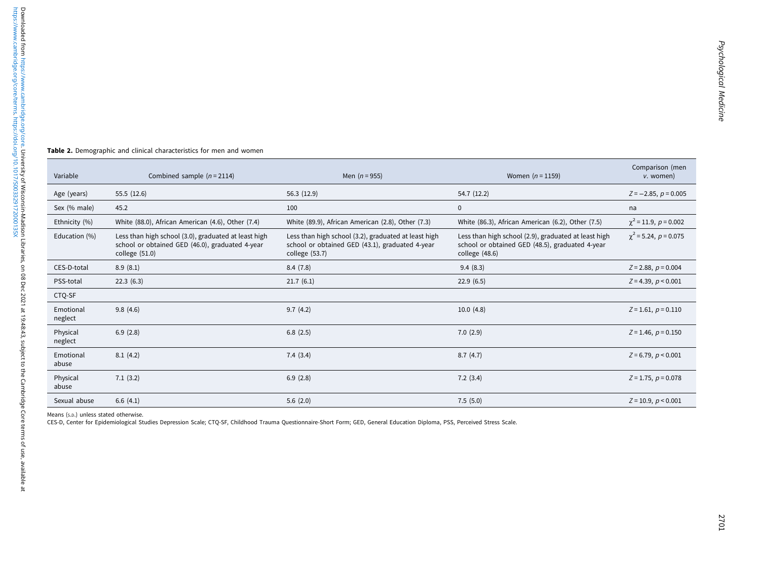#### Variable Combined sample  $(n = 2114)$  Men  $(n = 955)$  Men (n = 055) Women (n = 1159) Comparison (men <sup>v</sup>. women) Age (years) 55.5 (12.6) 56.3 (12.9) 54.7 (12.2) *Z* = −2.85, *p* = 0.005 Sex (% male) 45.2 100 0 na Ethnicity (%) White (88.0), African American (4.6), Other (7.4) White (89.9), African American (2.8), Other (7.3) White (86.3), African American (6.2), Other (7.5)  $\chi^2 = 11.9$ , p = 0.002 Education (%) Less than high school (3.0), graduated at least high school or obtained GED (46.0), graduated 4-year college (51.0) Less than high school (3.2), graduated at least high school or obtained GED (43.1), graduated 4-year college (53.7) Less than high school (2.9), graduated at least high school or obtained GED (48.5), graduated 4-year college (48.6)  $\chi^2$  = 5.24,  $p$  = 0.075 CES-D-total 8.9 (8.1) 8.4 (7.8) 9.4 (8.3) Z <sup>=</sup> 2.88, p <sup>=</sup> 0.004 PSS-total 22.3 (6.3) 21.7 (6.1) 22.9 (6.5) Z <sup>=</sup> 4.39, p <sup>&</sup>lt; 0.001 CTQ-SF Emotional neglect 9.8 (4.6)  $9.7 \ (4.2)$  9.7 (4.2)  $10.0 \ (4.8)$   $Z = 1.61, p = 0.110$ Physical neglect 6.9 (2.8) 6.9 (2.8) 6.8 (2.5) 6.8 (2.5) 6.8 (2.5) 6.9 (2.9) 7.0 (2.9) 6.9 (2.8) 6.9 (2.8) 6.9 (2.8) 6.9 (2.9) 6.9 (2.9) 6.9 (2.9) 6.9 (2.9) 6.9 (2.9) 6.9 (2.9) 6.9 (2.9) 6.9 (2.9) 6.9 (2.9) 6.9 (2.9) 6.9 (2.9) 6.9 (2.9) 6 Emotional abuse 8.1 (4.2)  $7.4$  (3.4)  $7.4$  (3.4)  $8.7$  (4.7)  $8.7$  (4.7)  $2 = 6.79, p < 0.001$ Physical abuse 7.1 (3.2) 6.9 (2.8) 6.9 (2.8) 6.9 (2.8) 7.2 (3.4) 7.2 (3.4) 7.2 (3.4)  $Z = 1.75, p = 0.078$ Sexual abuse  $6.6 \ (4.1)$   $Z = 10.9, \ p \le 0.001$   $Z = 10.9, \ p \le 0.001$

#### <span id="page-5-0"></span>Table 2. Demographic and clinical characteristics for men and women

Means (S.D.) unless stated otherwise.

CES-D, Center for Epidemiological Studies Depression Scale; CTQ-SF, Childhood Trauma Questionnaire-Short Form; GED, General Education Diploma, PSS, Perceived Stress Scale.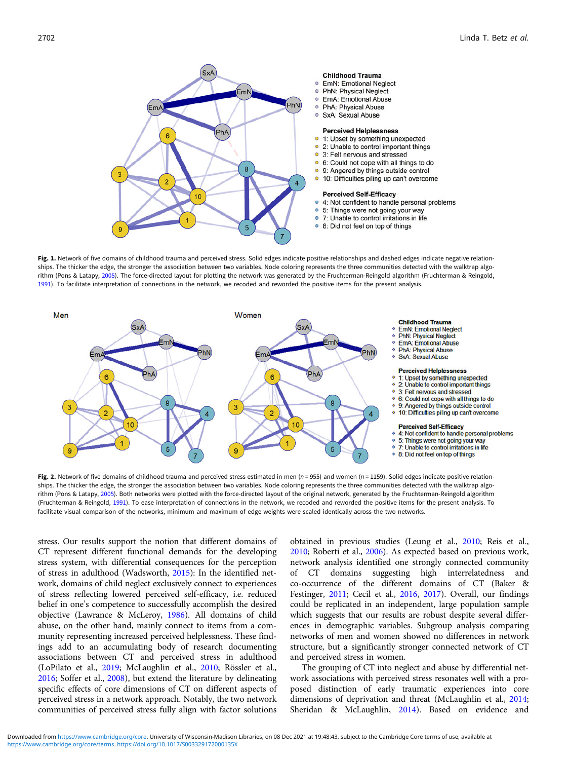<span id="page-6-0"></span>

Fig. 1. Network of five domains of childhood trauma and perceived stress. Solid edges indicate positive relationships and dashed edges indicate negative relationships. The thicker the edge, the stronger the association between two variables. Node coloring represents the three communities detected with the walktrap algorithm (Pons & Latapy, [2005](#page-9-0)). The force-directed layout for plotting the network was generated by the Fruchterman-Reingold algorithm (Fruchterman & Reingold, [1991](#page-9-0)). To facilitate interpretation of connections in the network, we recoded and reworded the positive items for the present analysis.



Fig. 2. Network of five domains of childhood trauma and perceived stress estimated in men ( $n = 955$ ) and women ( $n = 1159$ ). Solid edges indicate positive relationships. The thicker the edge, the stronger the association between two variables. Node coloring represents the three communities detected with the walktrap algorithm (Pons & Latapy, [2005](#page-9-0)). Both networks were plotted with the force-directed layout of the original network, generated by the Fruchterman-Reingold algorithm (Fruchterman & Reingold, [1991\)](#page-9-0). To ease interpretation of connections in the network, we recoded and reworded the positive items for the present analysis. To facilitate visual comparison of the networks, minimum and maximum of edge weights were scaled identically across the two networks.

stress. Our results support the notion that different domains of CT represent different functional demands for the developing stress system, with differential consequences for the perception of stress in adulthood (Wadsworth, [2015\)](#page-10-0): In the identified network, domains of child neglect exclusively connect to experiences of stress reflecting lowered perceived self-efficacy, i.e. reduced belief in one's competence to successfully accomplish the desired objective (Lawrance & McLeroy, [1986](#page-9-0)). All domains of child abuse, on the other hand, mainly connect to items from a community representing increased perceived helplessness. These findings add to an accumulating body of research documenting associations between CT and perceived stress in adulthood (LoPilato et al., [2019;](#page-9-0) McLaughlin et al., [2010;](#page-9-0) Rössler et al., [2016;](#page-10-0) Soffer et al., [2008](#page-10-0)), but extend the literature by delineating specific effects of core dimensions of CT on different aspects of perceived stress in a network approach. Notably, the two network communities of perceived stress fully align with factor solutions

obtained in previous studies (Leung et al., [2010;](#page-9-0) Reis et al., [2010;](#page-9-0) Roberti et al., [2006](#page-10-0)). As expected based on previous work, network analysis identified one strongly connected community of CT domains suggesting high interrelatedness and co-occurrence of the different domains of CT (Baker & Festinger, [2011](#page-8-0); Cecil et al., [2016](#page-8-0), [2017\)](#page-8-0). Overall, our findings could be replicated in an independent, large population sample which suggests that our results are robust despite several differences in demographic variables. Subgroup analysis comparing networks of men and women showed no differences in network structure, but a significantly stronger connected network of CT and perceived stress in women.

The grouping of CT into neglect and abuse by differential network associations with perceived stress resonates well with a proposed distinction of early traumatic experiences into core dimensions of deprivation and threat (McLaughlin et al., [2014;](#page-9-0) Sheridan & McLaughlin, [2014](#page-10-0)). Based on evidence and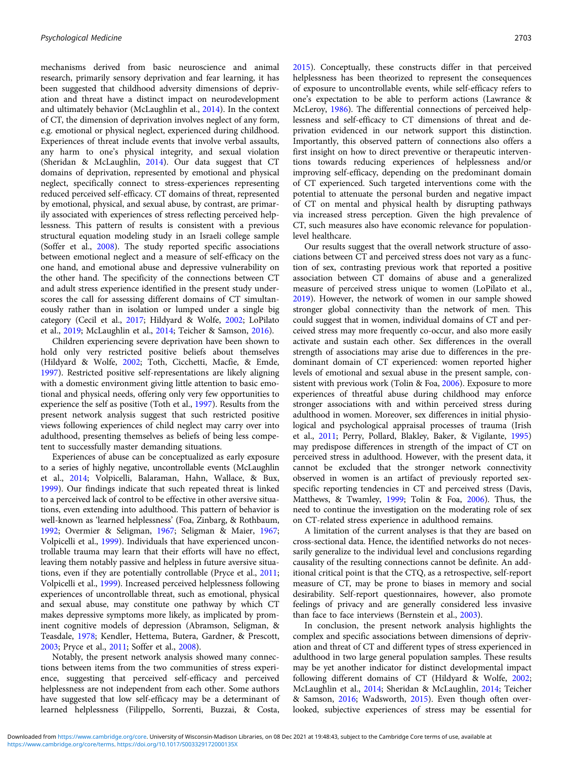mechanisms derived from basic neuroscience and animal research, primarily sensory deprivation and fear learning, it has been suggested that childhood adversity dimensions of deprivation and threat have a distinct impact on neurodevelopment and ultimately behavior (McLaughlin et al., [2014\)](#page-9-0). In the context of CT, the dimension of deprivation involves neglect of any form, e.g. emotional or physical neglect, experienced during childhood. Experiences of threat include events that involve verbal assaults, any harm to one's physical integrity, and sexual violation (Sheridan & McLaughlin, [2014\)](#page-10-0). Our data suggest that CT domains of deprivation, represented by emotional and physical neglect, specifically connect to stress-experiences representing reduced perceived self-efficacy. CT domains of threat, represented by emotional, physical, and sexual abuse, by contrast, are primarily associated with experiences of stress reflecting perceived helplessness. This pattern of results is consistent with a previous structural equation modeling study in an Israeli college sample (Soffer et al., [2008\)](#page-10-0). The study reported specific associations between emotional neglect and a measure of self-efficacy on the one hand, and emotional abuse and depressive vulnerability on the other hand. The specificity of the connections between CT and adult stress experience identified in the present study underscores the call for assessing different domains of CT simultaneously rather than in isolation or lumped under a single big category (Cecil et al., [2017](#page-8-0); Hildyard & Wolfe, [2002;](#page-9-0) LoPilato et al., [2019;](#page-9-0) McLaughlin et al., [2014](#page-9-0); Teicher & Samson, [2016](#page-10-0)).

Children experiencing severe deprivation have been shown to hold only very restricted positive beliefs about themselves (Hildyard & Wolfe, [2002;](#page-9-0) Toth, Cicchetti, Macfie, & Emde, [1997\)](#page-10-0). Restricted positive self-representations are likely aligning with a domestic environment giving little attention to basic emotional and physical needs, offering only very few opportunities to experience the self as positive (Toth et al., [1997\)](#page-10-0). Results from the present network analysis suggest that such restricted positive views following experiences of child neglect may carry over into adulthood, presenting themselves as beliefs of being less competent to successfully master demanding situations.

Experiences of abuse can be conceptualized as early exposure to a series of highly negative, uncontrollable events (McLaughlin et al., [2014](#page-9-0); Volpicelli, Balaraman, Hahn, Wallace, & Bux, [1999\)](#page-10-0). Our findings indicate that such repeated threat is linked to a perceived lack of control to be effective in other aversive situations, even extending into adulthood. This pattern of behavior is well-known as 'learned helplessness' (Foa, Zinbarg, & Rothbaum, [1992;](#page-8-0) Overmier & Seligman, [1967](#page-9-0); Seligman & Maier, [1967;](#page-10-0) Volpicelli et al., [1999](#page-10-0)). Individuals that have experienced uncontrollable trauma may learn that their efforts will have no effect, leaving them notably passive and helpless in future aversive situations, even if they are potentially controllable (Pryce et al., [2011;](#page-9-0) Volpicelli et al., [1999\)](#page-10-0). Increased perceived helplessness following experiences of uncontrollable threat, such as emotional, physical and sexual abuse, may constitute one pathway by which CT makes depressive symptoms more likely, as implicated by prominent cognitive models of depression (Abramson, Seligman, & Teasdale, [1978](#page-8-0); Kendler, Hettema, Butera, Gardner, & Prescott, [2003;](#page-9-0) Pryce et al., [2011](#page-9-0); Soffer et al., [2008\)](#page-10-0).

Notably, the present network analysis showed many connections between items from the two communities of stress experience, suggesting that perceived self-efficacy and perceived helplessness are not independent from each other. Some authors have suggested that low self-efficacy may be a determinant of learned helplessness (Filippello, Sorrenti, Buzzai, & Costa,

[2015](#page-8-0)). Conceptually, these constructs differ in that perceived helplessness has been theorized to represent the consequences of exposure to uncontrollable events, while self-efficacy refers to one's expectation to be able to perform actions (Lawrance & McLeroy, [1986\)](#page-9-0). The differential connections of perceived helplessness and self-efficacy to CT dimensions of threat and deprivation evidenced in our network support this distinction. Importantly, this observed pattern of connections also offers a first insight on how to direct preventive or therapeutic interventions towards reducing experiences of helplessness and/or improving self-efficacy, depending on the predominant domain of CT experienced. Such targeted interventions come with the potential to attenuate the personal burden and negative impact of CT on mental and physical health by disrupting pathways via increased stress perception. Given the high prevalence of CT, such measures also have economic relevance for populationlevel healthcare.

Our results suggest that the overall network structure of associations between CT and perceived stress does not vary as a function of sex, contrasting previous work that reported a positive association between CT domains of abuse and a generalized measure of perceived stress unique to women (LoPilato et al., [2019](#page-9-0)). However, the network of women in our sample showed stronger global connectivity than the network of men. This could suggest that in women, individual domains of CT and perceived stress may more frequently co-occur, and also more easily activate and sustain each other. Sex differences in the overall strength of associations may arise due to differences in the predominant domain of CT experienced: women reported higher levels of emotional and sexual abuse in the present sample, consistent with previous work (Tolin & Foa, [2006](#page-10-0)). Exposure to more experiences of threatful abuse during childhood may enforce stronger associations with and within perceived stress during adulthood in women. Moreover, sex differences in initial physiological and psychological appraisal processes of trauma (Irish et al., [2011](#page-9-0); Perry, Pollard, Blakley, Baker, & Vigilante, [1995](#page-9-0)) may predispose differences in strength of the impact of CT on perceived stress in adulthood. However, with the present data, it cannot be excluded that the stronger network connectivity observed in women is an artifact of previously reported sexspecific reporting tendencies in CT and perceived stress (Davis, Matthews, & Twamley, [1999](#page-8-0); Tolin & Foa, [2006](#page-10-0)). Thus, the need to continue the investigation on the moderating role of sex on CT-related stress experience in adulthood remains.

A limitation of the current analyses is that they are based on cross-sectional data. Hence, the identified networks do not necessarily generalize to the individual level and conclusions regarding causality of the resulting connections cannot be definite. An additional critical point is that the CTQ, as a retrospective, self-report measure of CT, may be prone to biases in memory and social desirability. Self-report questionnaires, however, also promote feelings of privacy and are generally considered less invasive than face to face interviews (Bernstein et al., [2003](#page-8-0)).

In conclusion, the present network analysis highlights the complex and specific associations between dimensions of deprivation and threat of CT and different types of stress experienced in adulthood in two large general population samples. These results may be yet another indicator for distinct developmental impact following different domains of CT (Hildyard & Wolfe, [2002](#page-9-0); McLaughlin et al., [2014;](#page-9-0) Sheridan & McLaughlin, [2014;](#page-10-0) Teicher & Samson, [2016;](#page-10-0) Wadsworth, [2015](#page-10-0)). Even though often overlooked, subjective experiences of stress may be essential for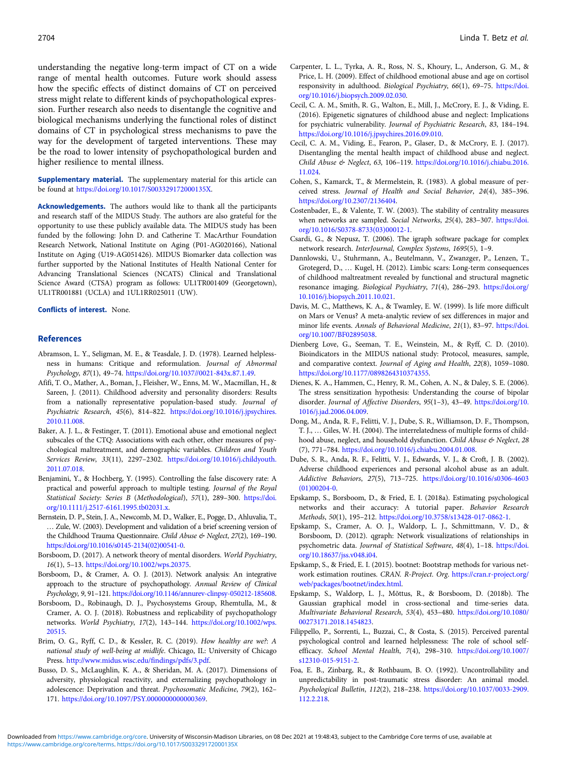<span id="page-8-0"></span>understanding the negative long-term impact of CT on a wide range of mental health outcomes. Future work should assess how the specific effects of distinct domains of CT on perceived stress might relate to different kinds of psychopathological expression. Further research also needs to disentangle the cognitive and biological mechanisms underlying the functional roles of distinct domains of CT in psychological stress mechanisms to pave the way for the development of targeted interventions. These may be the road to lower intensity of psychopathological burden and higher resilience to mental illness.

**Supplementary material.** The supplementary material for this article can be found at <https://doi.org/10.1017/S003329172000135X>.

Acknowledgements. The authors would like to thank all the participants and research staff of the MIDUS Study. The authors are also grateful for the opportunity to use these publicly available data. The MIDUS study has been funded by the following: John D. and Catherine T. MacArthur Foundation Research Network, National Institute on Aging (P01-AG020166), National Institute on Aging (U19-AG051426). MIDUS Biomarker data collection was further supported by the National Institutes of Health National Center for Advancing Translational Sciences (NCATS) Clinical and Translational Science Award (CTSA) program as follows: UL1TR001409 (Georgetown), UL1TR001881 (UCLA) and 1UL1RR025011 (UW).

Conflicts of interest. None.

#### References

- Abramson, L. Y., Seligman, M. E., & Teasdale, J. D. (1978). Learned helplessness in humans: Critique and reformulation. Journal of Abnormal Psychology, 87(1), 49–74. <https://doi.org/10.1037//0021-843x.87.1.49>.
- Afifi, T. O., Mather, A., Boman, J., Fleisher, W., Enns, M. W., Macmillan, H., & Sareen, J. (2011). Childhood adversity and personality disorders: Results from a nationally representative population-based study. Journal of Psychiatric Research, 45(6), 814–822. [https://doi.org/10.1016/j.jpsychires.](https://doi.org/10.1016/j.jpsychires.2010.11.008) [2010.11.008.](https://doi.org/10.1016/j.jpsychires.2010.11.008)
- Baker, A. J. L., & Festinger, T. (2011). Emotional abuse and emotional neglect subscales of the CTQ: Associations with each other, other measures of psychological maltreatment, and demographic variables. Children and Youth Services Review, 33(11), 2297–2302. [https://doi.org/10.1016/j.childyouth.](https://doi.org/10.1016/j.childyouth.2011.07.018) [2011.07.018.](https://doi.org/10.1016/j.childyouth.2011.07.018)
- Benjamini, Y., & Hochberg, Y. (1995). Controlling the false discovery rate: A practical and powerful approach to multiple testing. Journal of the Royal Statistical Society: Series B (Methodological), 57(1), 289–300. [https://doi.](https://doi.org/10.1111/j.2517-6161.1995.tb02031.x) [org/10.1111/j.2517-6161.1995.tb02031.x.](https://doi.org/10.1111/j.2517-6161.1995.tb02031.x)
- Bernstein, D. P., Stein, J. A., Newcomb, M. D., Walker, E., Pogge, D., Ahluvalia, T., … Zule, W. (2003). Development and validation of a brief screening version of the Childhood Trauma Questionnaire. Child Abuse & Neglect, 27(2), 169-190. [https://doi.org/10.1016/s0145-2134\(02\)00541-0.](https://doi.org/10.1016/s0145-2134(02)00541-0)
- Borsboom, D. (2017). A network theory of mental disorders. World Psychiatry, 16(1), 5–13. [https://doi.org/10.1002/wps.20375.](https://doi.org/10.1002/wps.20375)
- Borsboom, D., & Cramer, A. O. J. (2013). Network analysis: An integrative approach to the structure of psychopathology. Annual Review of Clinical Psychology, 9, 91–121. <https://doi.org/10.1146/annurev-clinpsy-050212-185608>.
- Borsboom, D., Robinaugh, D. J., Psychosystems Group, Rhemtulla, M., & Cramer, A. O. J. (2018). Robustness and replicability of psychopathology networks. World Psychiatry, 17(2), 143–144. [https://doi.org/10.1002/wps.](https://doi.org/10.1002/wps.20515) [20515.](https://doi.org/10.1002/wps.20515)
- Brim, O. G., Ryff, C. D., & Kessler, R. C. (2019). How healthy are we?: A national study of well-being at midlife. Chicago, IL: University of Chicago Press. <http://www.midus.wisc.edu/findings/pdfs/3.pdf>.
- Busso, D. S., McLaughlin, K. A., & Sheridan, M. A. (2017). Dimensions of adversity, physiological reactivity, and externalizing psychopathology in adolescence: Deprivation and threat. Psychosomatic Medicine, 79(2), 162– 171. [https://doi.org/10.1097/PSY.0000000000000369.](https://doi.org/10.1097/PSY.0000000000000369)
- Carpenter, L. L., Tyrka, A. R., Ross, N. S., Khoury, L., Anderson, G. M., & Price, L. H. (2009). Effect of childhood emotional abuse and age on cortisol responsivity in adulthood. Biological Psychiatry, 66(1), 69–75. [https://doi.](https://doi.org/10.1016/j.biopsych.2009.02.030) [org/10.1016/j.biopsych.2009.02.030](https://doi.org/10.1016/j.biopsych.2009.02.030).
- Cecil, C. A. M., Smith, R. G., Walton, E., Mill, J., McCrory, E. J., & Viding, E. (2016). Epigenetic signatures of childhood abuse and neglect: Implications for psychiatric vulnerability. Journal of Psychiatric Research, 83, 184–194. <https://doi.org/10.1016/j.jpsychires.2016.09.010>.
- Cecil, C. A. M., Viding, E., Fearon, P., Glaser, D., & McCrory, E. J. (2017). Disentangling the mental health impact of childhood abuse and neglect. Child Abuse & Neglect, 63, 106–119. [https://doi.org/10.1016/j.chiabu.2016.](https://doi.org/10.1016/j.chiabu.2016.11.024) [11.024](https://doi.org/10.1016/j.chiabu.2016.11.024).
- Cohen, S., Kamarck, T., & Mermelstein, R. (1983). A global measure of perceived stress. Journal of Health and Social Behavior, 24(4), 385–396. [https://doi.org/10.2307/2136404.](https://doi.org/10.2307/2136404)
- Costenbader, E., & Valente, T. W. (2003). The stability of centrality measures when networks are sampled. Social Networks, 25(4), 283–307. [https://doi.](https://doi.org/10.1016/S0378-8733(03)00012-1) [org/10.1016/S0378-8733\(03\)00012-1.](https://doi.org/10.1016/S0378-8733(03)00012-1)
- Csardi, G., & Nepusz, T. (2006). The igraph software package for complex network research. InterJournal, Complex Systems, 1695(5), 1–9.
- Dannlowski, U., Stuhrmann, A., Beutelmann, V., Zwanzger, P., Lenzen, T., Grotegerd, D., … Kugel, H. (2012). Limbic scars: Long-term consequences of childhood maltreatment revealed by functional and structural magnetic resonance imaging. Biological Psychiatry, 71(4), 286–293. [https://doi.org/](https://doi.org/10.1016/j.biopsych.2011.10.021) [10.1016/j.biopsych.2011.10.021](https://doi.org/10.1016/j.biopsych.2011.10.021).
- Davis, M. C., Matthews, K. A., & Twamley, E. W. (1999). Is life more difficult on Mars or Venus? A meta-analytic review of sex differences in major and minor life events. Annals of Behavioral Medicine, 21(1), 83–97. [https://doi.](https://doi.org/10.1007/BF02895038) [org/10.1007/BF02895038](https://doi.org/10.1007/BF02895038).
- Dienberg Love, G., Seeman, T. E., Weinstein, M., & Ryff, C. D. (2010). Bioindicators in the MIDUS national study: Protocol, measures, sample, and comparative context. Journal of Aging and Health, 22(8), 1059–1080. [https://doi.org/10.1177/0898264310374355.](https://doi.org/10.1177/0898264310374355)
- Dienes, K. A., Hammen, C., Henry, R. M., Cohen, A. N., & Daley, S. E. (2006). The stress sensitization hypothesis: Understanding the course of bipolar disorder. Journal of Affective Disorders, 95(1–3), 43–49. [https://doi.org/10.](https://doi.org/10.1016/j.jad.2006.04.009) [1016/j.jad.2006.04.009](https://doi.org/10.1016/j.jad.2006.04.009).
- Dong, M., Anda, R. F., Felitti, V. J., Dube, S. R., Williamson, D. F., Thompson, T. J., … Giles, W. H. (2004). The interrelatedness of multiple forms of childhood abuse, neglect, and household dysfunction. Child Abuse & Neglect, 28 (7), 771–784. [https://doi.org/10.1016/j.chiabu.2004.01.008.](https://doi.org/10.1016/j.chiabu.2004.01.008)
- Dube, S. R., Anda, R. F., Felitti, V. J., Edwards, V. J., & Croft, J. B. (2002). Adverse childhood experiences and personal alcohol abuse as an adult. Addictive Behaviors, 27(5), 713–725. [https://doi.org/10.1016/s0306-4603](https://doi.org/10.1016/s0306-4603(01)00204-0) [\(01\)00204-0](https://doi.org/10.1016/s0306-4603(01)00204-0).
- Epskamp, S., Borsboom, D., & Fried, E. I. (2018a). Estimating psychological networks and their accuracy: A tutorial paper. Behavior Research Methods, 50(1), 195–212. [https://doi.org/10.3758/s13428-017-0862-1.](https://doi.org/10.3758/s13428-017-0862-1)
- Epskamp, S., Cramer, A. O. J., Waldorp, L. J., Schmittmann, V. D., & Borsboom, D. (2012). qgraph: Network visualizations of relationships in psychometric data. Journal of Statistical Software, 48(4), 1–18. [https://doi.](https://doi.org/10.18637/jss.v048.i04) [org/10.18637/jss.v048.i04.](https://doi.org/10.18637/jss.v048.i04)
- Epskamp, S., & Fried, E. I. (2015). bootnet: Bootstrap methods for various network estimation routines. CRAN. R-Project. Org. [https://cran.r-project.org/](https://cran.r-project.org/web/packages/bootnet/index.html) [web/packages/bootnet/index.html](https://cran.r-project.org/web/packages/bootnet/index.html).
- Epskamp, S., Waldorp, L. J., Mõttus, R., & Borsboom, D. (2018b). The Gaussian graphical model in cross-sectional and time-series data. Multivariate Behavioral Research, 53(4), 453–480. [https://doi.org/10.1080/](https://doi.org/10.1080/00273171.2018.1454823) [00273171.2018.1454823](https://doi.org/10.1080/00273171.2018.1454823).
- Filippello, P., Sorrenti, L., Buzzai, C., & Costa, S. (2015). Perceived parental psychological control and learned helplessness: The role of school selfefficacy. School Mental Health, 7(4), 298–310. [https://doi.org/10.1007/](https://doi.org/10.1007/s12310-015-9151-2) [s12310-015-9151-2](https://doi.org/10.1007/s12310-015-9151-2).
- Foa, E. B., Zinbarg, R., & Rothbaum, B. O. (1992). Uncontrollability and unpredictability in post-traumatic stress disorder: An animal model. Psychological Bulletin, 112(2), 218–238. [https://doi.org/10.1037/0033-2909.](https://doi.org/10.1037/0033-2909.112.2.218) [112.2.218.](https://doi.org/10.1037/0033-2909.112.2.218)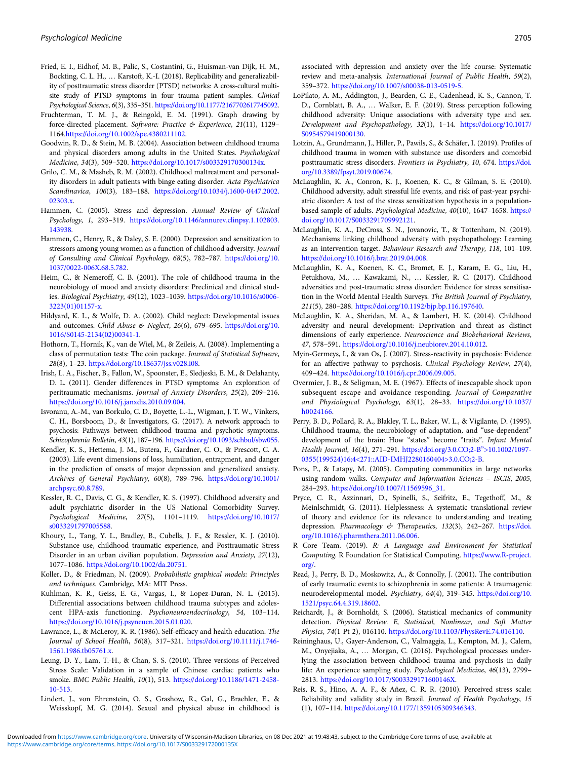- <span id="page-9-0"></span>Fried, E. I., Eidhof, M. B., Palic, S., Costantini, G., Huisman-van Dijk, H. M., Bockting, C. L. H., … Karstoft, K.-I. (2018). Replicability and generalizability of posttraumatic stress disorder (PTSD) networks: A cross-cultural multisite study of PTSD symptoms in four trauma patient samples. Clinical Psychological Science, 6(3), 335–351. <https://doi.org/10.1177/2167702617745092>.
- Fruchterman, T. M. J., & Reingold, E. M. (1991). Graph drawing by force-directed placement. Software: Practice & Experience, 21(11), 1129– 1164.<https://doi.org/10.1002/spe.4380211102>.
- Goodwin, R. D., & Stein, M. B. (2004). Association between childhood trauma and physical disorders among adults in the United States. Psychological Medicine, 34(3), 509–520. [https://doi.org/10.1017/s003329170300134x.](https://doi.org/10.1017/s003329170300134x)
- Grilo, C. M., & Masheb, R. M. (2002). Childhood maltreatment and personality disorders in adult patients with binge eating disorder. Acta Psychiatrica Scandinavica, 106(3), 183–188. [https://doi.org/10.1034/j.1600-0447.2002.](https://doi.org/10.1034/j.1600-0447.2002.02303.x) [02303.x](https://doi.org/10.1034/j.1600-0447.2002.02303.x).
- Hammen, C. (2005). Stress and depression. Annual Review of Clinical Psychology, 1, 293–319. [https://doi.org/10.1146/annurev.clinpsy.1.102803.](https://doi.org/10.1146/annurev.clinpsy.1.102803.143938) [143938](https://doi.org/10.1146/annurev.clinpsy.1.102803.143938).
- Hammen, C., Henry, R., & Daley, S. E. (2000). Depression and sensitization to stressors among young women as a function of childhood adversity. Journal of Consulting and Clinical Psychology, 68(5), 782–787. [https://doi.org/10.](https://doi.org/10.1037/0022-006X.68.5.782) [1037/0022-006X.68.5.782](https://doi.org/10.1037/0022-006X.68.5.782).
- Heim, C., & Nemeroff, C. B. (2001). The role of childhood trauma in the neurobiology of mood and anxiety disorders: Preclinical and clinical studies. Biological Psychiatry, 49(12), 1023–1039. [https://doi.org/10.1016/s0006-](https://doi.org/10.1016/s0006-3223(01)01157-x) [3223\(01\)01157-x.](https://doi.org/10.1016/s0006-3223(01)01157-x)
- Hildyard, K. L., & Wolfe, D. A. (2002). Child neglect: Developmental issues and outcomes. Child Abuse & Neglect, 26(6), 679-695. [https://doi.org/10.](https://doi.org/10.1016/S0145-2134(02)00341-1) [1016/S0145-2134\(02\)00341-1](https://doi.org/10.1016/S0145-2134(02)00341-1).
- Hothorn, T., Hornik, K., van de Wiel, M., & Zeileis, A. (2008). Implementing a class of permutation tests: The coin package. Journal of Statistical Software, 28(8), 1–23. <https://doi.org/10.18637/jss.v028.i08>.
- Irish, L. A., Fischer, B., Fallon, W., Spoonster, E., Sledjeski, E. M., & Delahanty, D. L. (2011). Gender differences in PTSD symptoms: An exploration of peritraumatic mechanisms. Journal of Anxiety Disorders, 25(2), 209–216. <https://doi.org/10.1016/j.janxdis.2010.09.004>.
- Isvoranu, A.-M., van Borkulo, C. D., Boyette, L.-L., Wigman, J. T. W., Vinkers, C. H., Borsboom, D., & Investigators, G. (2017). A network approach to psychosis: Pathways between childhood trauma and psychotic symptoms. Schizophrenia Bulletin, 43(1), 187–196. <https://doi.org/10.1093/schbul/sbw055>.
- Kendler, K. S., Hettema, J. M., Butera, F., Gardner, C. O., & Prescott, C. A. (2003). Life event dimensions of loss, humiliation, entrapment, and danger in the prediction of onsets of major depression and generalized anxiety. Archives of General Psychiatry, 60(8), 789–796. [https://doi.org/10.1001/](https://doi.org/10.1001/archpsyc.60.8.789) [archpsyc.60.8.789](https://doi.org/10.1001/archpsyc.60.8.789).
- Kessler, R. C., Davis, C. G., & Kendler, K. S. (1997). Childhood adversity and adult psychiatric disorder in the US National Comorbidity Survey. Psychological Medicine, 27(5), 1101–1119. [https://doi.org/10.1017/](https://doi.org/10.1017/s0033291797005588) [s0033291797005588.](https://doi.org/10.1017/s0033291797005588)
- Khoury, L., Tang, Y. L., Bradley, B., Cubells, J. F., & Ressler, K. J. (2010). Substance use, childhood traumatic experience, and Posttraumatic Stress Disorder in an urban civilian population. Depression and Anxiety, 27(12), 1077–1086. [https://doi.org/10.1002/da.20751.](https://doi.org/10.1002/da.20751)
- Koller, D., & Friedman, N. (2009). Probabilistic graphical models: Principles and techniques. Cambridge, MA: MIT Press.
- Kuhlman, K. R., Geiss, E. G., Vargas, I., & Lopez-Duran, N. L. (2015). Differential associations between childhood trauma subtypes and adolescent HPA-axis functioning. Psychoneuroendocrinology, 54, 103–114. <https://doi.org/10.1016/j.psyneuen.2015.01.020>.
- Lawrance, L., & McLeroy, K. R. (1986). Self-efficacy and health education. The Journal of School Health, 56(8), 317–321. [https://doi.org/10.1111/j.1746-](https://doi.org/10.1111/j.1746-1561.1986.tb05761.x) [1561.1986.tb05761.x.](https://doi.org/10.1111/j.1746-1561.1986.tb05761.x)
- Leung, D. Y., Lam, T.-H., & Chan, S. S. (2010). Three versions of Perceived Stress Scale: Validation in a sample of Chinese cardiac patients who smoke. BMC Public Health, 10(1), 513. [https://doi.org/10.1186/1471-2458-](https://doi.org/10.1186/1471-2458-10-513) [10-513](https://doi.org/10.1186/1471-2458-10-513).
- Lindert, J., von Ehrenstein, O. S., Grashow, R., Gal, G., Braehler, E., & Weisskopf, M. G. (2014). Sexual and physical abuse in childhood is

associated with depression and anxiety over the life course: Systematic review and meta-analysis. International Journal of Public Health, 59(2), 359–372. <https://doi.org/10.1007/s00038-013-0519-5>.

- LoPilato, A. M., Addington, J., Bearden, C. E., Cadenhead, K. S., Cannon, T. D., Cornblatt, B. A., … Walker, E. F. (2019). Stress perception following childhood adversity: Unique associations with adversity type and sex. Development and Psychopathology, 32(1), 1–14. [https://doi.org/10.1017/](https://doi.org/10.1017/S0954579419000130) [S0954579419000130](https://doi.org/10.1017/S0954579419000130).
- Lotzin, A., Grundmann, J., Hiller, P., Pawils, S., & Schäfer, I. (2019). Profiles of childhood trauma in women with substance use disorders and comorbid posttraumatic stress disorders. Frontiers in Psychiatry, 10, 674. [https://doi.](https://doi.org/10.3389/fpsyt.2019.00674) [org/10.3389/fpsyt.2019.00674.](https://doi.org/10.3389/fpsyt.2019.00674)
- McLaughlin, K. A., Conron, K. J., Koenen, K. C., & Gilman, S. E. (2010). Childhood adversity, adult stressful life events, and risk of past-year psychiatric disorder: A test of the stress sensitization hypothesis in a populationbased sample of adults. Psychological Medicine, 40(10), 1647–1658. [https://](https://doi.org/10.1017/S0033291709992121) [doi.org/10.1017/S0033291709992121](https://doi.org/10.1017/S0033291709992121).
- McLaughlin, K. A., DeCross, S. N., Jovanovic, T., & Tottenham, N. (2019). Mechanisms linking childhood adversity with psychopathology: Learning as an intervention target. Behaviour Research and Therapy, 118, 101–109. <https://doi.org/10.1016/j.brat.2019.04.008>.
- McLaughlin, K. A., Koenen, K. C., Bromet, E. J., Karam, E. G., Liu, H., Petukhova, M., … Kawakami, N., … Kessler, R. C. (2017). Childhood adversities and post-traumatic stress disorder: Evidence for stress sensitisation in the World Mental Health Surveys. The British Journal of Psychiatry, 211(5), 280–288. [https://doi.org/10.1192/bjp.bp.116.197640.](https://doi.org/10.1192/bjp.bp.116.197640)
- McLaughlin, K. A., Sheridan, M. A., & Lambert, H. K. (2014). Childhood adversity and neural development: Deprivation and threat as distinct dimensions of early experience. Neuroscience and Biobehavioral Reviews, 47, 578–591. [https://doi.org/10.1016/j.neubiorev.2014.10.012.](https://doi.org/10.1016/j.neubiorev.2014.10.012)
- Myin-Germeys, I., & van Os, J. (2007). Stress-reactivity in psychosis: Evidence for an affective pathway to psychosis. Clinical Psychology Review, 27(4), 409–424. [https://doi.org/10.1016/j.cpr.2006.09.005.](https://doi.org/10.1016/j.cpr.2006.09.005)
- Overmier, J. B., & Seligman, M. E. (1967). Effects of inescapable shock upon subsequent escape and avoidance responding. Journal of Comparative and Physiological Psychology, 63(1), 28–33. [https://doi.org/10.1037/](https://doi.org/10.1037/h0024166) [h0024166](https://doi.org/10.1037/h0024166).
- Perry, B. D., Pollard, R. A., Blakley, T. L., Baker, W. L., & Vigilante, D. (1995). Childhood trauma, the neurobiology of adaptation, and "use-dependent" development of the brain: How "states" become "traits". Infant Mental Health Journal, 16(4), 271–291. [https://doi.org/3.0.CO;2-B](https://doi.org/3.0.CO;2-B”%3E10.1002/1097-0355(199524)16:4%3C271::AID-IMHJ2280160404%3E3.0.CO;2-B)">10.1002/1097- [0355\(199524\)16:4<271::AID-IMHJ2280160404>3.0.CO;2-B](https://doi.org/3.0.CO;2-B”%3E10.1002/1097-0355(199524)16:4%3C271::AID-IMHJ2280160404%3E3.0.CO;2-B).
- Pons, P., & Latapy, M. (2005). Computing communities in large networks using random walks. Computer and Information Sciences – ISCIS, 2005, 284–293. [https://doi.org/10.1007/11569596\\_31](https://doi.org/10.1007/11569596_31).
- Pryce, C. R., Azzinnari, D., Spinelli, S., Seifritz, E., Tegethoff, M., & Meinlschmidt, G. (2011). Helplessness: A systematic translational review of theory and evidence for its relevance to understanding and treating depression. Pharmacology & Therapeutics, 132(3), 242-267. [https://doi.](https://doi.org/10.1016/j.pharmthera.2011.06.006) [org/10.1016/j.pharmthera.2011.06.006](https://doi.org/10.1016/j.pharmthera.2011.06.006).
- R Core Team. (2019). R: A Language and Environment for Statistical Computing. R Foundation for Statistical Computing. [https://www.R-project.](https://www.R-project.org/) [org/](https://www.R-project.org/).
- Read, J., Perry, B. D., Moskowitz, A., & Connolly, J. (2001). The contribution of early traumatic events to schizophrenia in some patients: A traumagenic neurodevelopmental model. Psychiatry, 64(4), 319–345. [https://doi.org/10.](https://doi.org/10.1521/psyc.64.4.319.18602) [1521/psyc.64.4.319.18602.](https://doi.org/10.1521/psyc.64.4.319.18602)
- Reichardt, J., & Bornholdt, S. (2006). Statistical mechanics of community detection. Physical Review. E, Statistical, Nonlinear, and Soft Matter Physics, 74(1 Pt 2), 016110. <https://doi.org/10.1103/PhysRevE.74.016110>.
- Reininghaus, U., Gayer-Anderson, C., Valmaggia, L., Kempton, M. J., Calem, M., Onyejiaka, A., … Morgan, C. (2016). Psychological processes underlying the association between childhood trauma and psychosis in daily life: An experience sampling study. Psychological Medicine, 46(13), 2799– 2813. [https://doi.org/10.1017/S003329171600146X.](https://doi.org/10.1017/S003329171600146X)
- Reis, R. S., Hino, A. A. F., & Añez, C. R. R. (2010). Perceived stress scale: Reliability and validity study in Brazil. Journal of Health Psychology, 15 (1), 107–114. [https://doi.org/10.1177/1359105309346343.](https://doi.org/10.1177/1359105309346343)